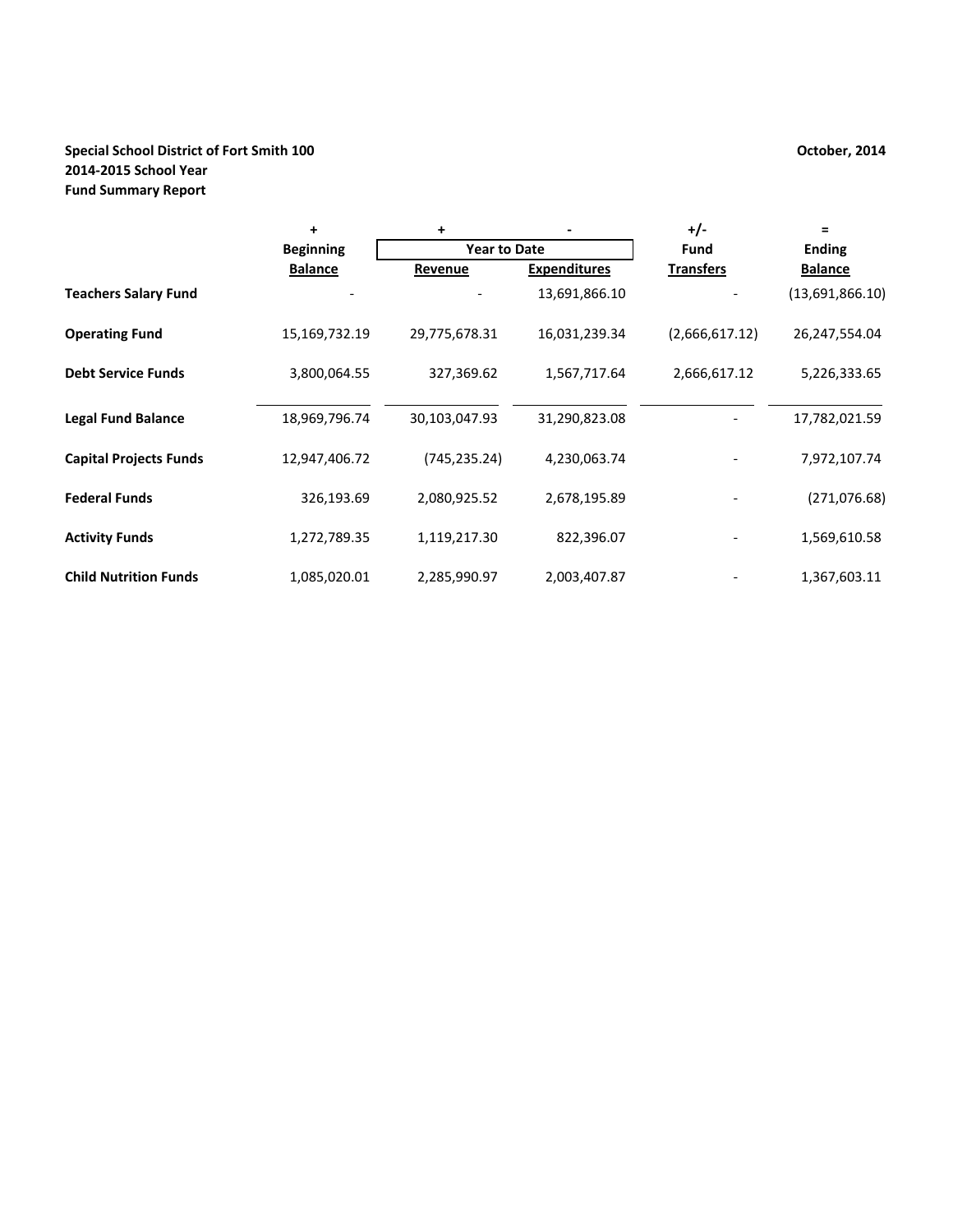#### **Special School District of Fort Smith 100 October, 2014 2014‐2015 School Year Fund Summary Report**

|                               | $\ddot{}$        | +                   |                     | $+/-$            |                 |
|-------------------------------|------------------|---------------------|---------------------|------------------|-----------------|
|                               | <b>Beginning</b> | <b>Year to Date</b> |                     | <b>Fund</b>      | <b>Ending</b>   |
|                               | <b>Balance</b>   | Revenue             | <b>Expenditures</b> | <b>Transfers</b> | <b>Balance</b>  |
| <b>Teachers Salary Fund</b>   |                  |                     | 13,691,866.10       |                  | (13,691,866.10) |
| <b>Operating Fund</b>         | 15,169,732.19    | 29,775,678.31       | 16,031,239.34       | (2,666,617.12)   | 26,247,554.04   |
| <b>Debt Service Funds</b>     | 3,800,064.55     | 327,369.62          | 1,567,717.64        | 2,666,617.12     | 5,226,333.65    |
| <b>Legal Fund Balance</b>     | 18,969,796.74    | 30,103,047.93       | 31,290,823.08       |                  | 17,782,021.59   |
| <b>Capital Projects Funds</b> | 12,947,406.72    | (745, 235.24)       | 4,230,063.74        |                  | 7,972,107.74    |
| <b>Federal Funds</b>          | 326,193.69       | 2,080,925.52        | 2,678,195.89        |                  | (271, 076.68)   |
| <b>Activity Funds</b>         | 1,272,789.35     | 1,119,217.30        | 822,396.07          |                  | 1,569,610.58    |
| <b>Child Nutrition Funds</b>  | 1,085,020.01     | 2,285,990.97        | 2,003,407.87        |                  | 1,367,603.11    |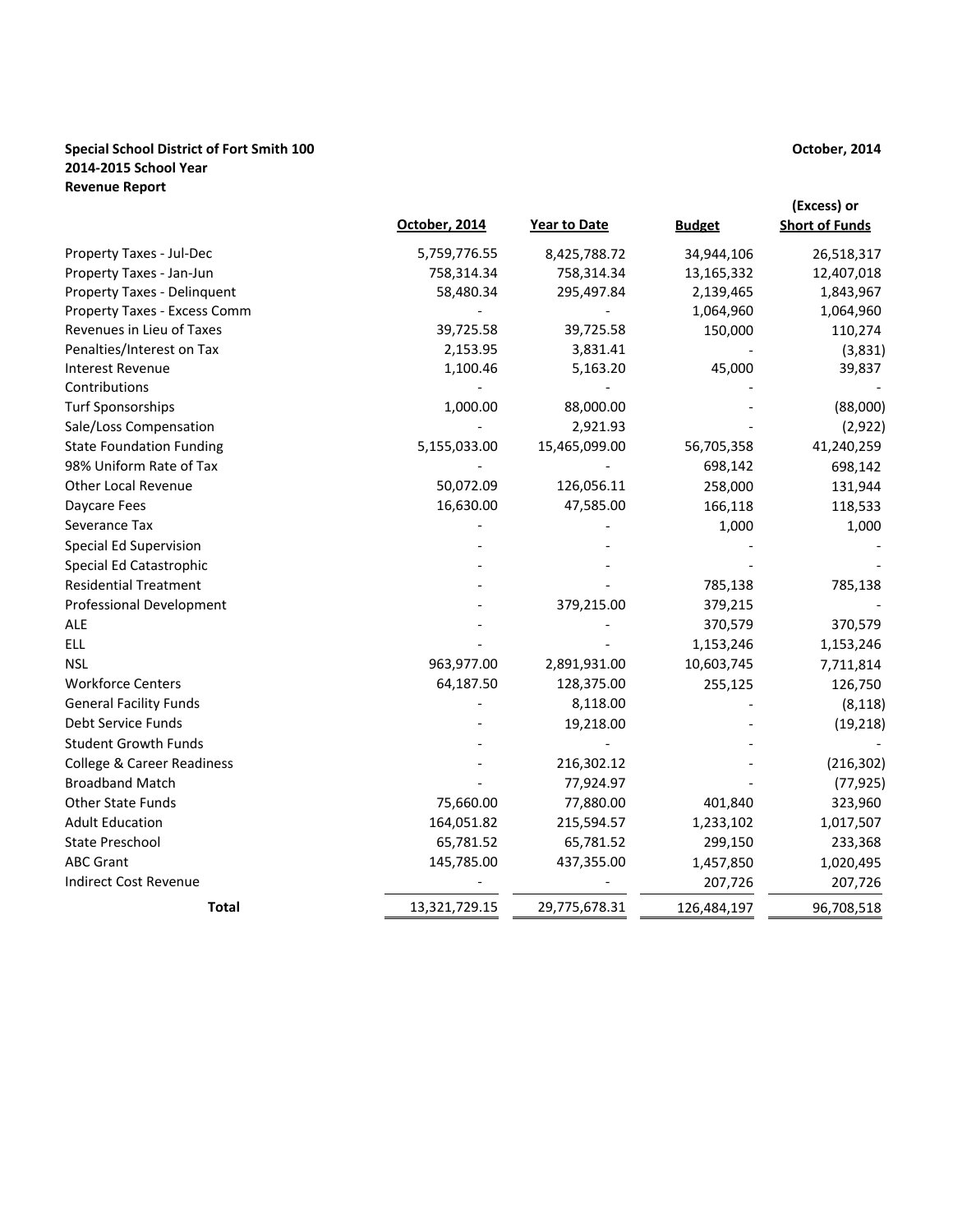#### **Special School District of Fort Smith 100 2014‐2015 School Year Revenue Report**

|                                       | October, 2014 | Year to Date  | <b>Budget</b> | (Excess) or<br><b>Short of Funds</b> |
|---------------------------------------|---------------|---------------|---------------|--------------------------------------|
| Property Taxes - Jul-Dec              | 5,759,776.55  | 8,425,788.72  | 34,944,106    | 26,518,317                           |
| Property Taxes - Jan-Jun              | 758,314.34    | 758,314.34    | 13,165,332    | 12,407,018                           |
| Property Taxes - Delinquent           | 58,480.34     | 295,497.84    | 2,139,465     | 1,843,967                            |
| Property Taxes - Excess Comm          |               |               | 1,064,960     | 1,064,960                            |
| Revenues in Lieu of Taxes             | 39,725.58     | 39,725.58     | 150,000       | 110,274                              |
| Penalties/Interest on Tax             | 2,153.95      | 3,831.41      |               | (3,831)                              |
| <b>Interest Revenue</b>               | 1,100.46      | 5,163.20      | 45,000        | 39,837                               |
| Contributions                         |               |               |               |                                      |
| <b>Turf Sponsorships</b>              | 1,000.00      | 88,000.00     |               | (88,000)                             |
| Sale/Loss Compensation                |               | 2,921.93      |               | (2,922)                              |
| <b>State Foundation Funding</b>       | 5,155,033.00  | 15,465,099.00 | 56,705,358    | 41,240,259                           |
| 98% Uniform Rate of Tax               |               |               | 698,142       | 698,142                              |
| Other Local Revenue                   | 50,072.09     | 126,056.11    | 258,000       | 131,944                              |
| Daycare Fees                          | 16,630.00     | 47,585.00     | 166,118       | 118,533                              |
| Severance Tax                         |               |               | 1,000         | 1,000                                |
| Special Ed Supervision                |               |               |               |                                      |
| Special Ed Catastrophic               |               |               |               |                                      |
| <b>Residential Treatment</b>          |               |               | 785,138       | 785,138                              |
| <b>Professional Development</b>       |               | 379,215.00    | 379,215       |                                      |
| <b>ALE</b>                            |               |               | 370,579       | 370,579                              |
| <b>ELL</b>                            |               |               | 1,153,246     | 1,153,246                            |
| <b>NSL</b>                            | 963,977.00    | 2,891,931.00  | 10,603,745    | 7,711,814                            |
| <b>Workforce Centers</b>              | 64,187.50     | 128,375.00    | 255,125       | 126,750                              |
| <b>General Facility Funds</b>         |               | 8,118.00      |               | (8, 118)                             |
| Debt Service Funds                    |               | 19,218.00     |               | (19, 218)                            |
| <b>Student Growth Funds</b>           |               |               |               |                                      |
| <b>College &amp; Career Readiness</b> |               | 216,302.12    |               | (216, 302)                           |
| <b>Broadband Match</b>                |               | 77,924.97     |               | (77, 925)                            |
| <b>Other State Funds</b>              | 75,660.00     | 77,880.00     | 401,840       | 323,960                              |
| <b>Adult Education</b>                | 164,051.82    | 215,594.57    | 1,233,102     | 1,017,507                            |
| <b>State Preschool</b>                | 65,781.52     | 65,781.52     | 299,150       | 233,368                              |
| <b>ABC Grant</b>                      | 145,785.00    | 437,355.00    | 1,457,850     | 1,020,495                            |
| Indirect Cost Revenue                 |               |               | 207,726       | 207,726                              |
| <b>Total</b>                          | 13,321,729.15 | 29,775,678.31 | 126,484,197   | 96,708,518                           |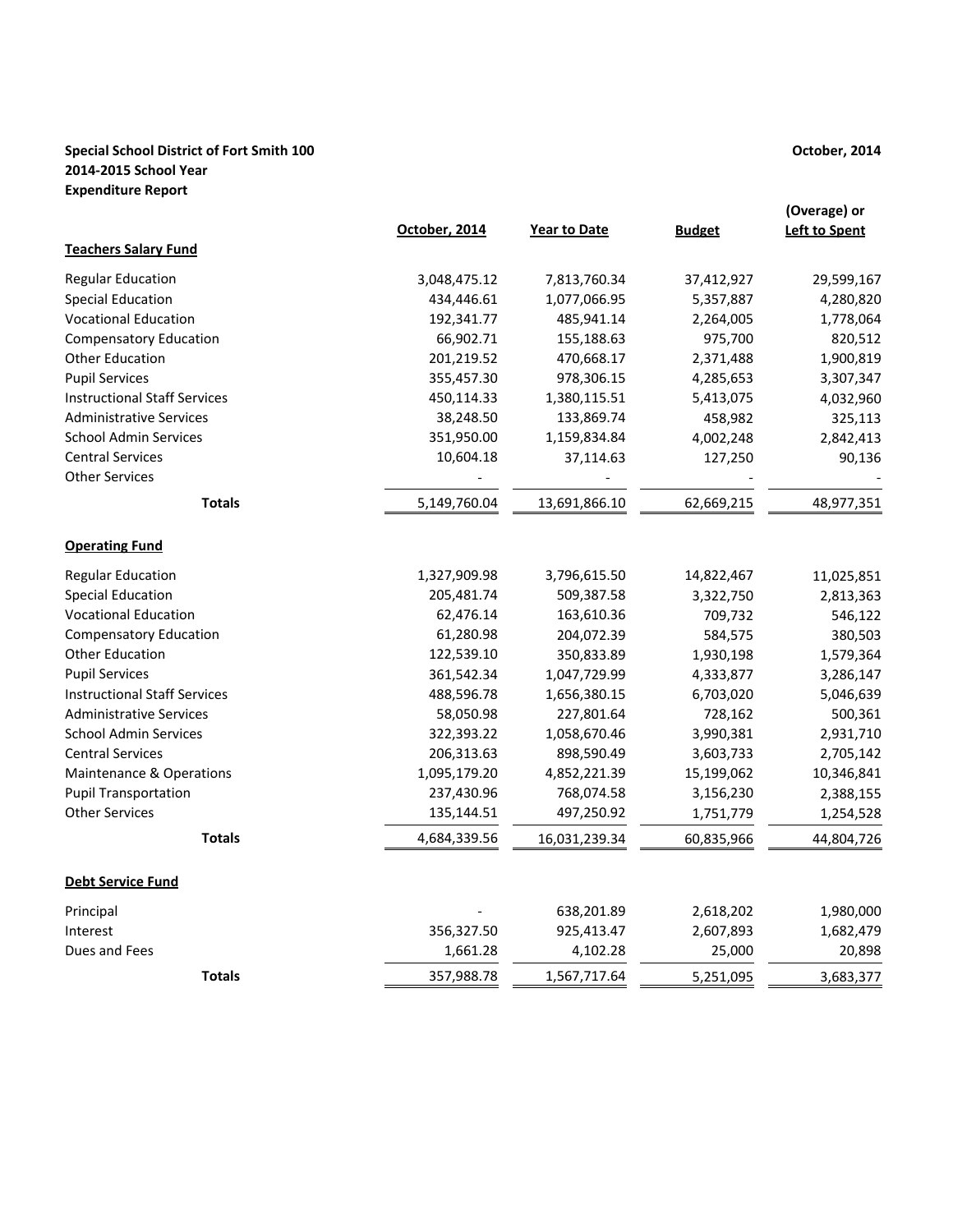### **Special School District of Fort Smith 100 2014‐2015 School Year Expenditure Report**

|                                     | October, 2014 | <b>Year to Date</b> | <b>Budget</b> | (Overage) or<br><b>Left to Spent</b> |
|-------------------------------------|---------------|---------------------|---------------|--------------------------------------|
| <b>Teachers Salary Fund</b>         |               |                     |               |                                      |
| <b>Regular Education</b>            | 3,048,475.12  | 7,813,760.34        | 37,412,927    | 29,599,167                           |
| <b>Special Education</b>            | 434,446.61    | 1,077,066.95        | 5,357,887     | 4,280,820                            |
| <b>Vocational Education</b>         | 192,341.77    | 485,941.14          | 2,264,005     | 1,778,064                            |
| <b>Compensatory Education</b>       | 66,902.71     | 155,188.63          | 975,700       | 820,512                              |
| <b>Other Education</b>              | 201,219.52    | 470,668.17          | 2,371,488     | 1,900,819                            |
| <b>Pupil Services</b>               | 355,457.30    | 978,306.15          | 4,285,653     | 3,307,347                            |
| <b>Instructional Staff Services</b> | 450,114.33    | 1,380,115.51        | 5,413,075     | 4,032,960                            |
| <b>Administrative Services</b>      | 38,248.50     | 133,869.74          | 458,982       | 325,113                              |
| <b>School Admin Services</b>        | 351,950.00    | 1,159,834.84        | 4,002,248     | 2,842,413                            |
| <b>Central Services</b>             | 10,604.18     | 37,114.63           | 127,250       | 90,136                               |
| <b>Other Services</b>               |               |                     |               |                                      |
| <b>Totals</b>                       | 5,149,760.04  | 13,691,866.10       | 62,669,215    | 48,977,351                           |
| <b>Operating Fund</b>               |               |                     |               |                                      |
| <b>Regular Education</b>            | 1,327,909.98  | 3,796,615.50        | 14,822,467    | 11,025,851                           |
| <b>Special Education</b>            | 205,481.74    | 509,387.58          | 3,322,750     | 2,813,363                            |
| <b>Vocational Education</b>         | 62,476.14     | 163,610.36          | 709,732       | 546,122                              |
| <b>Compensatory Education</b>       | 61,280.98     | 204,072.39          | 584,575       | 380,503                              |
| <b>Other Education</b>              | 122,539.10    | 350,833.89          | 1,930,198     | 1,579,364                            |
| <b>Pupil Services</b>               | 361,542.34    | 1,047,729.99        | 4,333,877     | 3,286,147                            |
| <b>Instructional Staff Services</b> | 488,596.78    | 1,656,380.15        | 6,703,020     | 5,046,639                            |
| <b>Administrative Services</b>      | 58,050.98     | 227,801.64          | 728,162       | 500,361                              |
| <b>School Admin Services</b>        | 322,393.22    | 1,058,670.46        | 3,990,381     | 2,931,710                            |
| <b>Central Services</b>             | 206,313.63    | 898,590.49          | 3,603,733     | 2,705,142                            |
| <b>Maintenance &amp; Operations</b> | 1,095,179.20  | 4,852,221.39        | 15,199,062    | 10,346,841                           |
| <b>Pupil Transportation</b>         | 237,430.96    | 768,074.58          | 3,156,230     | 2,388,155                            |
| <b>Other Services</b>               | 135,144.51    | 497,250.92          | 1,751,779     | 1,254,528                            |
| <b>Totals</b>                       | 4,684,339.56  | 16,031,239.34       | 60,835,966    | 44,804,726                           |
| <b>Debt Service Fund</b>            |               |                     |               |                                      |
| Principal                           |               | 638,201.89          | 2,618,202     | 1,980,000                            |
| Interest                            | 356,327.50    | 925,413.47          | 2,607,893     | 1,682,479                            |
| Dues and Fees                       | 1,661.28      | 4,102.28            | 25,000        | 20,898                               |
| <b>Totals</b>                       | 357,988.78    | 1,567,717.64        | 5,251,095     | 3,683,377                            |

# **October, 2014**